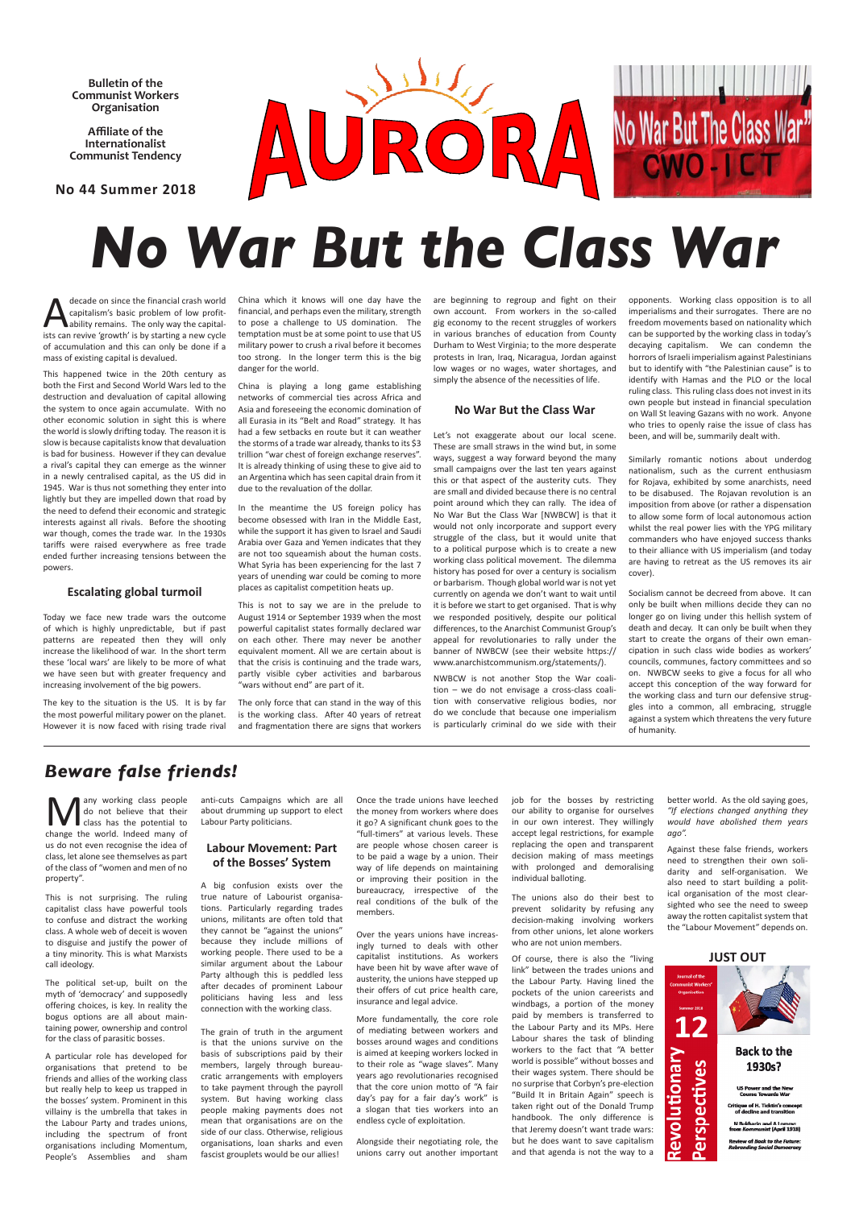**Bulletin of the Communist Workers Organisation**

**Affiliate of the Internationalist Communist Tendency** 

## **No 44 Summer 2018**



decade on since the financial crash world<br>
capitalism's basic problem of low profit-<br>
ability remains. The only way the capital-<br>
is by starting a new subcapitalism's basic problem of low profitists can revive 'growth' is by starting a new cycle of accumulation and this can only be done if a mass of existing capital is devalued.

This happened twice in the 20th century as both the First and Second World Wars led to the destruction and devaluation of capital allowing the system to once again accumulate. With no other economic solution in sight this is where the world is slowly drifting today. The reason it is slow is because capitalists know that devaluation is bad for business. However if they can devalue a rival's capital they can emerge as the winner in a newly centralised capital, as the US did in 1945. War is thus not something they enter into lightly but they are impelled down that road by the need to defend their economic and strategic interests against all rivals. Before the shooting war though, comes the trade war. In the 1930s tariffs were raised everywhere as free trade ended further increasing tensions between the powers.

#### **Escalating global turmoil**

Today we face new trade wars the outcome of which is highly unpredictable, but if past patterns are repeated then they will only increase the likelihood of war. In the short term these 'local wars' are likely to be more of what we have seen but with greater frequency and increasing involvement of the big powers.

The key to the situation is the US. It is by far the most powerful military power on the planet. However it is now faced with rising trade rival

China which it knows will one day have the financial, and perhaps even the military, strength to pose a challenge to US domination. The temptation must be at some point to use that US military power to crush a rival before it becomes too strong. In the longer term this is the big danger for the world.

China is playing a long game establishing networks of commercial ties across Africa and Asia and foreseeing the economic domination of all Eurasia in its "Belt and Road" strategy. It has had a few setbacks en route but it can weather the storms of a trade war already, thanks to its \$3 trillion "war chest of foreign exchange reserves". It is already thinking of using these to give aid to an Argentina which has seen capital drain from it due to the revaluation of the dollar.

In the meantime the US foreign policy has become obsessed with Iran in the Middle East, while the support it has given to Israel and Saudi Arabia over Gaza and Yemen indicates that they are not too squeamish about the human costs. What Syria has been experiencing for the last 7 years of unending war could be coming to more places as capitalist competition heats up.

This is not to say we are in the prelude to August 1914 or September 1939 when the most powerful capitalist states formally declared war on each other. There may never be another equivalent moment. All we are certain about is that the crisis is continuing and the trade wars, partly visible cyber activities and barbarous "wars without end" are part of it.

The only force that can stand in the way of this is the working class. After 40 years of retreat and fragmentation there are signs that workers

Many working class people<br>do not believe that their<br>class has the potential to do not believe that their change the world. Indeed many of us do not even recognise the idea of class, let alone see themselves as part of the class of "women and men of no property".

are beginning to regroup and fight on their own account. From workers in the so-called gig economy to the recent struggles of workers in various branches of education from County Durham to West Virginia; to the more desperate protests in Iran, Iraq, Nicaragua, Jordan against low wages or no wages, water shortages, and simply the absence of the necessities of life.

#### **No War But the Class War**

Let's not exaggerate about our local scene. These are small straws in the wind but, in some ways, suggest a way forward beyond the many small campaigns over the last ten years against this or that aspect of the austerity cuts. They are small and divided because there is no central point around which they can rally. The idea of No War But the Class War [NWBCW] is that it would not only incorporate and support every struggle of the class, but it would unite that to a political purpose which is to create a new working class political movement. The dilemma history has posed for over a century is socialism or barbarism. Though global world war is not yet currently on agenda we don't want to wait until it is before we start to get organised. That is why we responded positively, despite our political differences, to the Anarchist Communist Group's appeal for revolutionaries to rally under the banner of NWBCW (see their website https:// www.anarchistcommunism.org/statements/).

NWBCW is not another Stop the War coalition – we do not envisage a cross-class coalition with conservative religious bodies, nor do we conclude that because one imperialism is particularly criminal do we side with their opponents. Working class opposition is to all imperialisms and their surrogates. There are no freedom movements based on nationality which can be supported by the working class in today's decaying capitalism. We can condemn the horrors of Israeli imperialism against Palestinians but to identify with "the Palestinian cause" is to identify with Hamas and the PLO or the local ruling class. This ruling class does not invest in its own people but instead in financial speculation on Wall St leaving Gazans with no work. Anyone who tries to openly raise the issue of class has been, and will be, summarily dealt with.

Similarly romantic notions about underdog nationalism, such as the current enthusiasm for Rojava, exhibited by some anarchists, need to be disabused. The Rojavan revolution is an imposition from above (or rather a dispensation to allow some form of local autonomous action whilst the real power lies with the YPG military commanders who have enjoyed success thanks to their alliance with US imperialism (and today are having to retreat as the US removes its air cover).

Socialism cannot be decreed from above. It can only be built when millions decide they can no longer go on living under this hellish system of death and decay. It can only be built when they start to create the organs of their own emancipation in such class wide bodies as workers' councils, communes, factory committees and so on. NWBCW seeks to give a focus for all who accept this conception of the way forward for the working class and turn our defensive struggles into a common, all embracing, struggle against a system which threatens the very future of humanity.

This is not surprising. The ruling capitalist class have powerful tools

to confuse and distract the working class. A whole web of deceit is woven to disguise and justify the power of a tiny minority. This is what Marxists call ideology.

The political set-up, built on the myth of 'democracy' and supposedly offering choices, is key. In reality the bogus options are all about maintaining power, ownership and control for the class of parasitic bosses.

A particular role has developed for organisations that pretend to be friends and allies of the working class but really help to keep us trapped in the bosses' system. Prominent in this villainy is the umbrella that takes in the Labour Party and trades unions, including the spectrum of front organisations including Momentum, People's Assemblies and sham

anti-cuts Campaigns which are all about drumming up support to elect Labour Party politicians.

### **Labour Movement: Part of the Bosses' System**

A big confusion exists over the true nature of Labourist organisations. Particularly regarding trades unions, militants are often told that they cannot be "against the unions" because they include millions of working people. There used to be a similar argument about the Labour Party although this is peddled less after decades of prominent Labour politicians having less and less connection with the working class.

The grain of truth in the argument is that the unions survive on the basis of subscriptions paid by their members, largely through bureaucratic arrangements with employers to take payment through the payroll system. But having working class people making payments does not mean that organisations are on the side of our class. Otherwise, religious organisations, loan sharks and even fascist grouplets would be our allies!

Once the trade unions have leeched the money from workers where does it go? A significant chunk goes to the "full-timers" at various levels. These are people whose chosen career is to be paid a wage by a union. Their way of life depends on maintaining or improving their position in the bureaucracy, irrespective of the real conditions of the bulk of the

members.

Over the years unions have increasingly turned to deals with other capitalist institutions. As workers have been hit by wave after wave of austerity, the unions have stepped up their offers of cut price health care, insurance and legal advice.

More fundamentally, the core role of mediating between workers and bosses around wages and conditions is aimed at keeping workers locked in to their role as "wage slaves". Many years ago revolutionaries recognised that the core union motto of "A fair day's pay for a fair day's work" is a slogan that ties workers into an endless cycle of exploitation.

Alongside their negotiating role, the unions carry out another important job for the bosses by restricting our ability to organise for ourselves in our own interest. They willingly accept legal restrictions, for example replacing the open and transparent decision making of mass meetings with prolonged and demoralising individual balloting.

The unions also do their best to prevent solidarity by refusing any

decision-making involving workers from other unions, let alone workers who are not union members.

Of course, there is also the "living link" between the trades unions and the Labour Party. Having lined the pockets of the union careerists and windbags, a portion of the money paid by members is transferred to the Labour Party and its MPs. Here Labour shares the task of blinding workers to the fact that "A better world is possible" without bosses and their wages system. There should be no surprise that Corbyn's pre-election "Build It in Britain Again" speech is taken right out of the Donald Trump handbook. The only difference is that Jeremy doesn't want trade wars: but he does want to save capitalism and that agenda is not the way to a

better world. As the old saying goes, *"If elections changed anything they would have abolished them years ago".*

Against these false friends, workers need to strengthen their own solidarity and self-organisation. We also need to start building a political organisation of the most clearsighted who see the need to sweep

away the rotten capitalist system that the "Labour Movement" depends on.

#### **JUST OUT**



## *Beware false friends!*